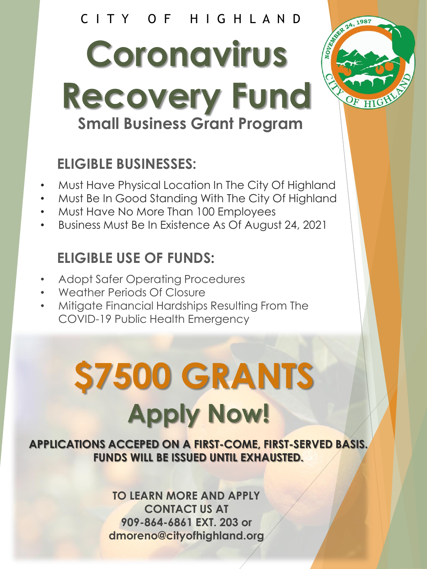# C I T Y O F H I G H L A N D

**Coronavirus Recovery Fund Small Business Grant Program**

# **ELIGIBLE BUSINESSES:**

- Must Have Physical Location In The City Of Highland
- Must Be In Good Standing With The City Of Highland
- Must Have No More Than 100 Employees
- Business Must Be In Existence As Of August 24, 2021

# **ELIGIBLE USE OF FUNDS:**

- Adopt Safer Operating Procedures
- Weather Periods Of Closure
- Mitigate Financial Hardships Resulting From The COVID-19 Public Health Emergency

# **\$7500 GRANTS Apply Now!**

**APPLICATIONS ACCEPED ON A FIRST-COME, FIRST-SERVED BASIS. FUNDS WILL BE ISSUED UNTIL EXHAUSTED.**

> **TO LEARN MORE AND APPLY CONTACT US AT 909-864-6861 EXT. 203 or dmoreno@cityofhighland.org**

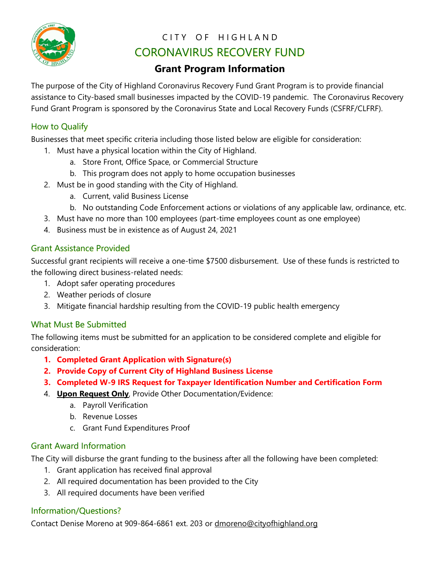

## CITY OF HIGHLAND CORONAVIRUS RECOVERY FUND

## **Grant Program Information**

The purpose of the City of Highland Coronavirus Recovery Fund Grant Program is to provide financial assistance to City-based small businesses impacted by the COVID-19 pandemic. The Coronavirus Recovery Fund Grant Program is sponsored by the Coronavirus State and Local Recovery Funds (CSFRF/CLFRF).

#### How to Qualify

Businesses that meet specific criteria including those listed below are eligible for consideration:

- 1. Must have a physical location within the City of Highland.
	- a. Store Front, Office Space, or Commercial Structure
	- b. This program does not apply to home occupation businesses
- 2. Must be in good standing with the City of Highland.
	- a. Current, valid Business License
	- b. No outstanding Code Enforcement actions or violations of any applicable law, ordinance, etc.
- 3. Must have no more than 100 employees (part-time employees count as one employee)
- 4. Business must be in existence as of August 24, 2021

#### Grant Assistance Provided

Successful grant recipients will receive a one-time \$7500 disbursement. Use of these funds is restricted to the following direct business-related needs:

- 1. Adopt safer operating procedures
- 2. Weather periods of closure
- 3. Mitigate financial hardship resulting from the COVID-19 public health emergency

#### What Must Be Submitted

The following items must be submitted for an application to be considered complete and eligible for consideration:

- **1. Completed Grant Application with Signature(s)**
- **2. Provide Copy of Current City of Highland Business License**
- **3. Completed W-9 IRS Request for Taxpayer Identification Number and Certification Form**
- 4. **Upon Request Only**, Provide Other Documentation/Evidence:
	- a. Payroll Verification
	- b. Revenue Losses
	- c. Grant Fund Expenditures Proof

#### Grant Award Information

The City will disburse the grant funding to the business after all the following have been completed:

- 1. Grant application has received final approval
- 2. All required documentation has been provided to the City
- 3. All required documents have been verified

#### Information/Questions?

Contact Denise Moreno at 909-864-6861 ext. 203 or [dmoreno@cityofhighland.org](mailto:dmoreno@cityofhighland.org)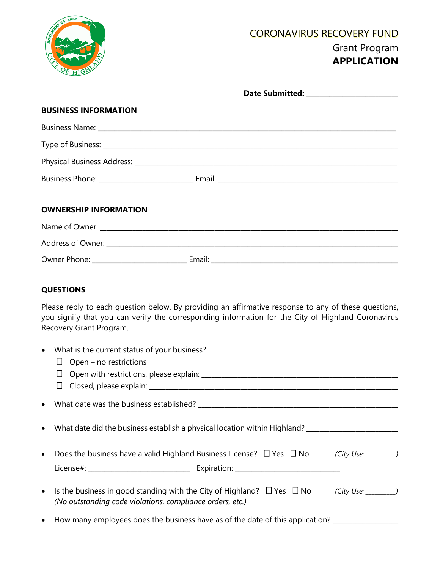

## CORONAVIRUS RECOVERY FUND Grant Program **APPLICATION**

|                        | <b>BUSINESS INFORMATION</b>                                                                                                                                                                                                           |
|------------------------|---------------------------------------------------------------------------------------------------------------------------------------------------------------------------------------------------------------------------------------|
|                        |                                                                                                                                                                                                                                       |
|                        |                                                                                                                                                                                                                                       |
|                        |                                                                                                                                                                                                                                       |
|                        |                                                                                                                                                                                                                                       |
|                        | <b>OWNERSHIP INFORMATION</b>                                                                                                                                                                                                          |
|                        |                                                                                                                                                                                                                                       |
|                        |                                                                                                                                                                                                                                       |
|                        |                                                                                                                                                                                                                                       |
| <b>QUESTIONS</b>       |                                                                                                                                                                                                                                       |
|                        | Please reply to each question below. By providing an affirmative response to any of these questions,<br>you signify that you can verify the corresponding information for the City of Highland Coronavirus<br>Recovery Grant Program. |
| $\bullet$              | What is the current status of your business?<br>$\Box$ Open – no restrictions                                                                                                                                                         |
| $\bullet$<br>$\bullet$ | What date did the business establish a physical location within Highland? _________________________                                                                                                                                   |

- Does the business have a valid Highland Business License?  $\Box$  Yes  $\Box$  No *(City Use: \_\_\_\_\_\_\_)* License#: \_\_\_\_\_\_\_\_\_\_\_\_\_\_\_\_\_\_\_\_\_\_\_\_\_\_\_\_\_\_\_ Expiration: \_\_\_\_\_\_\_\_\_\_\_\_\_\_\_\_\_\_\_\_\_\_\_\_\_\_\_\_\_\_\_\_
- Is the business in good standing with the City of Highland?  $\Box$  Yes  $\Box$  No (City Use: \_\_\_\_\_\_\_) *(No outstanding code violations, compliance orders, etc.)*
- How many employees does the business have as of the date of this application? \_\_\_\_\_\_\_\_\_\_\_\_\_\_\_\_\_\_\_\_\_\_\_\_\_\_\_\_\_\_